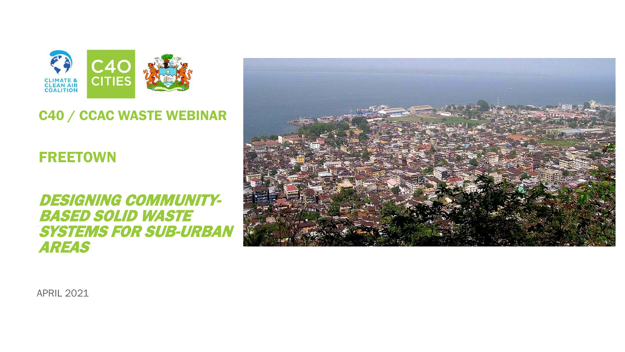

#### C40 / CCAC WASTE WEBINAR

#### FREETOWN

DESIGNING COMMUNITY- BASED SOLID WASTE SYSTEMS FOR SUB-URBAN AREAS



APRIL 2021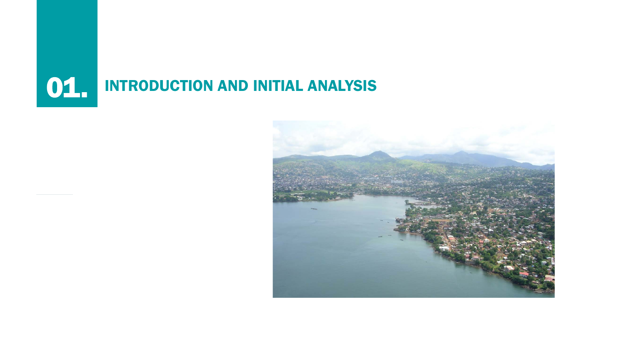# **01. INTRODUCTION AND INITIAL ANALYSIS**

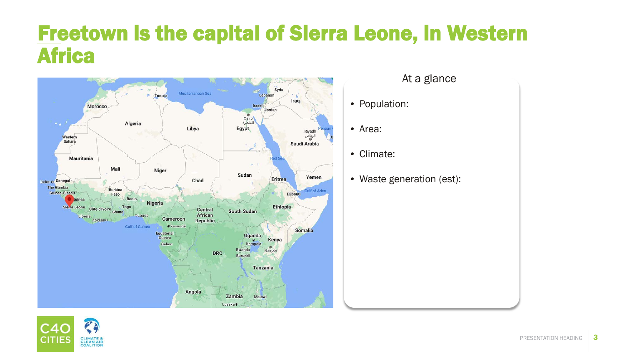#### Freetown is the capital of Sierra Leone, in Western Africa



- At a glance
- Population:
- Area:
- Climate:
- Waste generation (est):

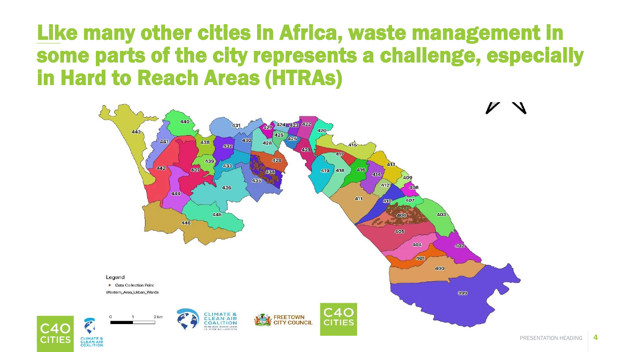#### Like many other cities in Africa, waste management in some parts of the city represents a challenge, especially in Hard to Reach Areas (HTRAs)



CITIE

COALITION

4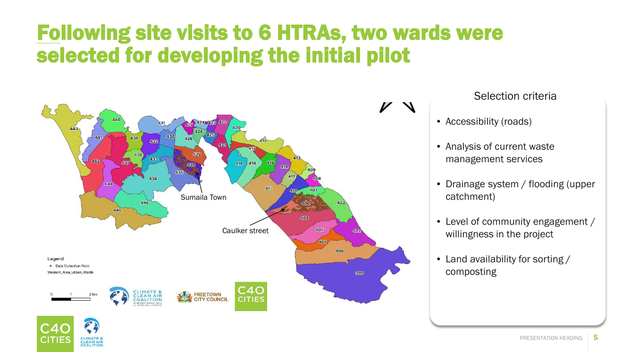## Following site visits to 6 HTRAs, two wards were selected for developing the initial pilot



CLIMATE &<br>CLEAN AIR COALITION

Selection criteria

- Accessibility (roads)
- Analysis of current waste management services
- Drainage system / flooding (upper catchment)
- Level of community engagement / willingness in the project
- Land availability for sorting / composting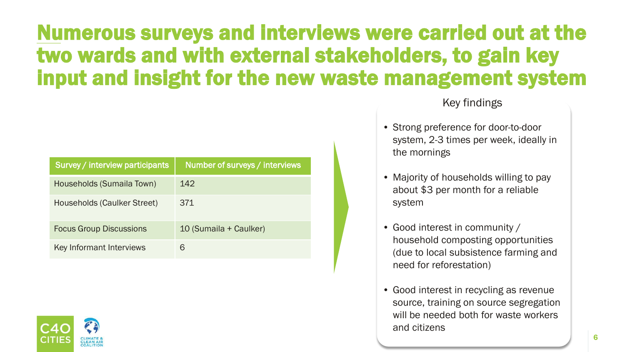## Numerous surveys and interviews were carried out at the two wards and with external stakeholders, to gain key input and insight for the new waste management system

| Survey / interview participants | Number of surveys / interviews |
|---------------------------------|--------------------------------|
| Households (Sumaila Town)       | 142                            |
| Households (Caulker Street)     | 371                            |
| <b>Focus Group Discussions</b>  | 10 (Sumaila + Caulker)         |
| Key Informant Interviews        | 6                              |



#### Key findings

- Strong preference for door-to-door system, 2-3 times per week, ideally in the mornings
- Majority of households willing to pay about \$3 per month for a reliable system
- Good interest in community / household composting opportunities (due to local subsistence farming and need for reforestation)
- Good interest in recycling as revenue source, training on source segregation will be needed both for waste workers and citizens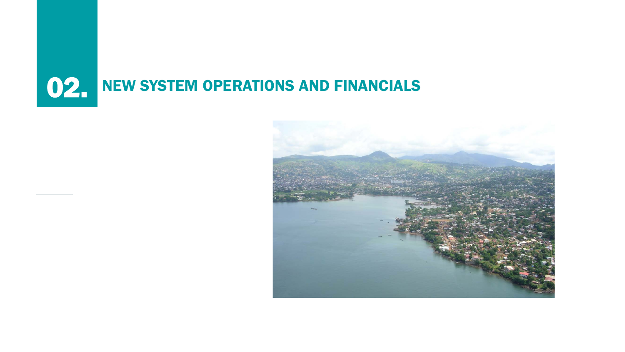

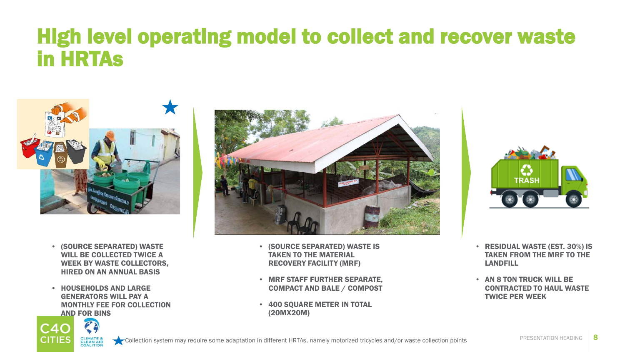#### High level operating model to collect and recover waste in HRTAs



- (SOURCE SEPARATED) WASTE WILL BE COLLECTED TWICE A WEEK BY WASTE COLLECTORS, HIRED ON AN ANNUAL BASIS
- HOUSEHOLDS AND LARGE GENERATORS WILL PAY A MONTHLY FEE FOR COLLECTION AND FOR BINS

C40 **CITIES** 



- (SOURCE SEPARATED) WASTE IS TAKEN TO THE MATERIAL RECOVERY FACILITY (MRF)
- MRF STAFF FURTHER SEPARATE, COMPACT AND BALE / COMPOST
- 400 SOUARE METER IN TOTAL (20MX20M)



- RESIDUAL WASTE (EST. 30%) IS TAKEN FROM THE MRF TO THE LANDFILL
- AN 8 TON TRUCK WILL BE CONTRACTED TO HAUL WASTE TWICE PER WEEK

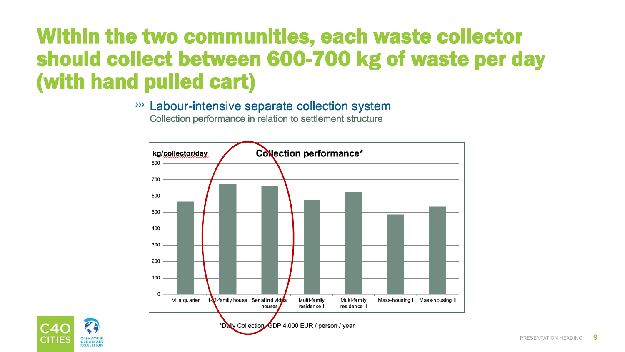## Within the two communities, each waste collector should collect between 600-700 kg of waste per day (with hand pulled cart)

 $\gg$ Labour-intensive separate collection system Collection performance in relation to settlement structure



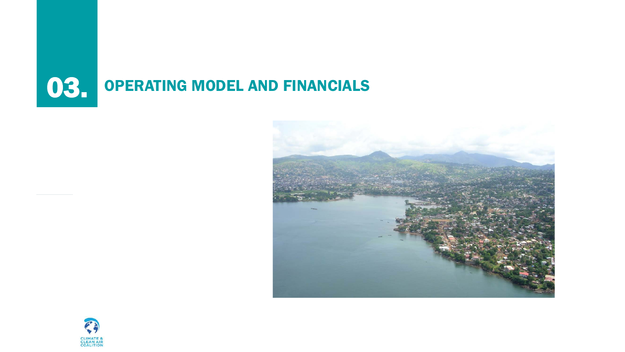



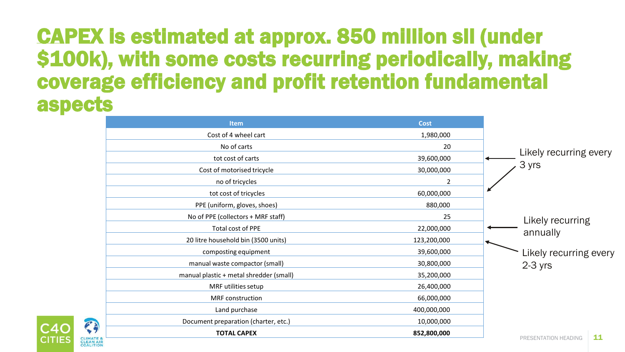#### CAPEX is estimated at approx. 850 million sll (under \$100k), with some costs recurring periodically, making coverage efficiency and profit retention fundamental aspects

| <b>Item</b>                             | <b>Cost</b> |                            |
|-----------------------------------------|-------------|----------------------------|
| Cost of 4 wheel cart                    | 1,980,000   |                            |
| No of carts                             | 20          |                            |
| tot cost of carts                       | 39,600,000  | Likely recurring every     |
| Cost of motorised tricycle              | 30,000,000  | 3 yrs                      |
| no of tricycles                         | 2           |                            |
| tot cost of tricycles                   | 60,000,000  |                            |
| PPE (uniform, gloves, shoes)            | 880,000     |                            |
| No of PPE (collectors + MRF staff)      | 25          | Likely recurring           |
| Total cost of PPE                       | 22,000,000  | annually                   |
| 20 litre household bin (3500 units)     | 123,200,000 |                            |
| composting equipment                    | 39,600,000  | Likely recurring every     |
| manual waste compactor (small)          | 30,800,000  | $2-3$ yrs                  |
| manual plastic + metal shredder (small) | 35,200,000  |                            |
| MRF utilities setup                     | 26,400,000  |                            |
| MRF construction                        | 66,000,000  |                            |
| Land purchase                           | 400,000,000 |                            |
| Document preparation (charter, etc.)    | 10,000,000  |                            |
| <b>TOTAL CAPEX</b>                      | 852,800,000 | 11<br>PRESENTATION HEADING |

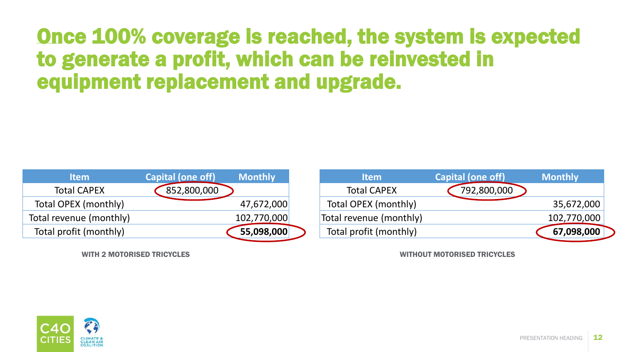#### Once 100% coverage is reached, the system is expected to generate a profit, which can be reinvested in equipment replacement and upgrade.

| <b>Item</b>             | <b>Capital (one off)</b> | <b>Monthly</b> |
|-------------------------|--------------------------|----------------|
| <b>Total CAPEX</b>      | 852,800,000              |                |
| Total OPEX (monthly)    |                          | 47,672,000     |
| Total revenue (monthly) |                          | 102,770,000    |
| Total profit (monthly)  |                          | 55,098,000     |



WITH 2 MOTORISED TRICYCLES WITHOUT MOTORISED TRICYCLES

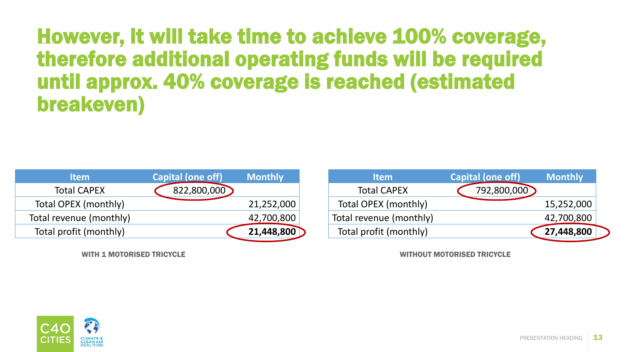#### However, it will take time to achieve 100% coverage, therefore additional operating funds will be required until approx. 40% coverage is reached (estimated breakeven)

| <b>Item</b>             | Capital (one off) | <b>Monthly</b> |
|-------------------------|-------------------|----------------|
| <b>Total CAPEX</b>      | 822,800,000       |                |
| Total OPEX (monthly)    |                   | 21,252,000     |
| Total revenue (monthly) |                   | 42,700,800     |
| Total profit (monthly)  |                   | 21,448,800     |

| <b>Capital (one off)</b> | <b>Monthly</b> |
|--------------------------|----------------|
| 792,800,000              |                |
|                          | 15,252,000     |
|                          | 42,700,800     |
|                          | 27,448,800     |
|                          |                |

WITH 1 MOTORISED TRICYCLE WITHOUT MOTORISED TRICYCLE

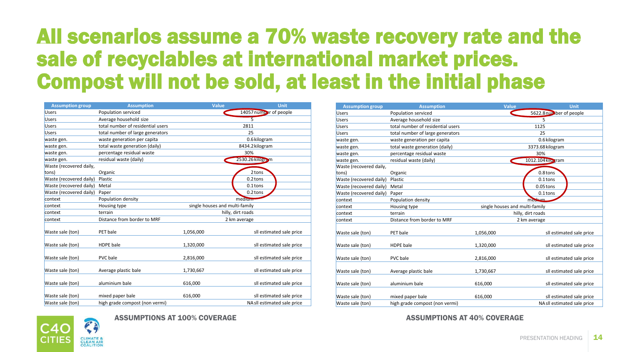## All scenarios assume a 70% waste recovery rate and the sale of recyclables at international market prices. Compost will not be sold, at least in the initial phase

| <b>Assumption group</b> | <b>Assumption</b>                 | Value                          | <b>Unit</b>                 |
|-------------------------|-----------------------------------|--------------------------------|-----------------------------|
| <b>Users</b>            | Population serviced               |                                | 14057 number of people      |
| <b>Users</b>            | Average household size            | $\overline{5}$                 |                             |
| <b>Users</b>            | total number of residential users |                                | 2811                        |
| <b>Users</b>            | total number of large generators  |                                | 25                          |
| waste gen.              | waste generation per capita       |                                | 0.6 kilogram                |
| waste gen.              | total waste generation (daily)    |                                | 8434.2 kilogram             |
| waste gen.              | percentage residual waste         |                                | 30%                         |
| waste gen.              | residual waste (daily)            |                                | 2530.26 kilogram            |
| Waste (recovered daily, |                                   |                                |                             |
| tons)                   | Organic                           |                                | 2 tons                      |
| Waste (recovered daily) | Plastic                           |                                | 0.2 tons                    |
| Waste (recovered daily) | Metal                             |                                | $0.1$ tons                  |
| Waste (recovered daily) | Paper                             |                                | 0.2 tons                    |
| context                 | Population density                | medium                         |                             |
| context                 | Housing type                      | single houses and multi-family |                             |
| context                 | terrain                           | hilly, dirt roads              |                             |
| context                 | Distance from border to MRF       | 2 km average                   |                             |
|                         |                                   |                                |                             |
| Waste sale (ton)        | PET bale                          | 1,056,000                      | sll estimated sale price    |
| Waste sale (ton)        | <b>HDPE</b> bale                  | 1,320,000                      | sll estimated sale price    |
| Waste sale (ton)        | PVC bale                          | 2,816,000                      | sll estimated sale price    |
| Waste sale (ton)        | Average plastic bale              | 1,730,667                      | sll estimated sale price    |
| Waste sale (ton)        | aluminium bale                    | 616,000                        | sll estimated sale price    |
| Waste sale (ton)        | mixed paper bale                  | 616,000                        | sll estimated sale price    |
| Waste sale (ton)        | high grade compost (non vermi)    |                                | NA sll estimated sale price |

| <b>Assumption group</b> | <b>Assumption</b>                 | <b>Value</b>                   | <b>Unit</b>                 |
|-------------------------|-----------------------------------|--------------------------------|-----------------------------|
| <b>Users</b>            | Population serviced               |                                | 5622.8 number of people     |
| <b>Users</b>            | Average household size            |                                | 5                           |
| <b>Users</b>            | total number of residential users |                                | 1125                        |
| <b>Users</b>            | total number of large generators  |                                | 25                          |
| waste gen.              | waste generation per capita       |                                | 0.6 kilogram                |
| waste gen.              | total waste generation (daily)    |                                | 3373.68 kilogram            |
| waste gen.              | percentage residual waste         |                                | 30%                         |
| waste gen.              | residual waste (daily)            |                                | 1012.104 kilo tram          |
| Waste (recovered daily, |                                   |                                |                             |
| tons)                   | Organic                           |                                | 0.8 tons                    |
| Waste (recovered daily) | Plastic                           |                                | $0.1$ tons                  |
| Waste (recovered daily) | Metal                             |                                | $0.05$ tons                 |
| Waste (recovered daily) | Paper                             |                                | $0.1$ tons                  |
| context                 | Population density                | medium                         |                             |
| context                 | Housing type                      | single houses and multi-family |                             |
| context                 | terrain                           | hilly, dirt roads              |                             |
| context                 | Distance from border to MRF       | 2 km average                   |                             |
|                         |                                   |                                |                             |
| Waste sale (ton)        | PET bale                          | 1,056,000                      | sll estimated sale price    |
| Waste sale (ton)        | <b>HDPE</b> bale                  | 1,320,000                      | sll estimated sale price    |
| Waste sale (ton)        | <b>PVC</b> bale                   | 2,816,000                      | sll estimated sale price    |
| Waste sale (ton)        | Average plastic bale              | 1,730,667                      | sll estimated sale price    |
| Waste sale (ton)        | aluminium bale                    | 616,000                        | sll estimated sale price    |
| Waste sale (ton)        | mixed paper bale                  | 616,000                        | sll estimated sale price    |
| Waste sale (ton)        | high grade compost (non vermi)    |                                | NA sll estimated sale price |

ASSUMPTIONS AT 100% COVERAGE ASSUMPTIONS AT 40% COVERAGE

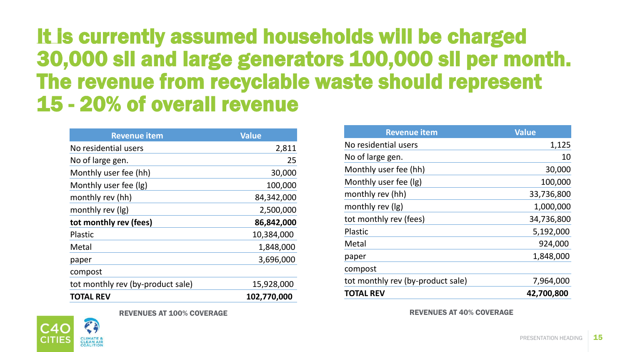#### It is currently assumed households will be charged 30,000 sll and large generators 100,000 sll per month. The revenue from recyclable waste should represent 15 - 20% of overall revenue

| <b>Revenue item</b>               | <b>Value</b> |
|-----------------------------------|--------------|
| No residential users              | 2,811        |
| No of large gen.                  | 25           |
| Monthly user fee (hh)             | 30,000       |
| Monthly user fee (Ig)             | 100,000      |
| monthly rev (hh)                  | 84,342,000   |
| monthly rev (lg)                  | 2,500,000    |
| tot monthly rev (fees)            | 86,842,000   |
| <b>Plastic</b>                    | 10,384,000   |
| Metal                             | 1,848,000    |
| paper                             | 3,696,000    |
| compost                           |              |
| tot monthly rev (by-product sale) | 15,928,000   |
| <b>TOTAL REV</b>                  | 102,770,000  |

| <b>Revenue item</b>               | <b>Value</b> |
|-----------------------------------|--------------|
| No residential users              | 1,125        |
| No of large gen.                  | 10           |
| Monthly user fee (hh)             | 30,000       |
| Monthly user fee (lg)             | 100,000      |
| monthly rev (hh)                  | 33,736,800   |
| monthly rev (Ig)                  | 1,000,000    |
| tot monthly rev (fees)            | 34,736,800   |
| <b>Plastic</b>                    | 5,192,000    |
| Metal                             | 924,000      |
| paper                             | 1,848,000    |
| compost                           |              |
| tot monthly rev (by-product sale) | 7,964,000    |
| <b>TOTAL REV</b>                  | 42,700,800   |

REVENUES AT 100% COVERAGE REVENUES AT 40% COVERAGE

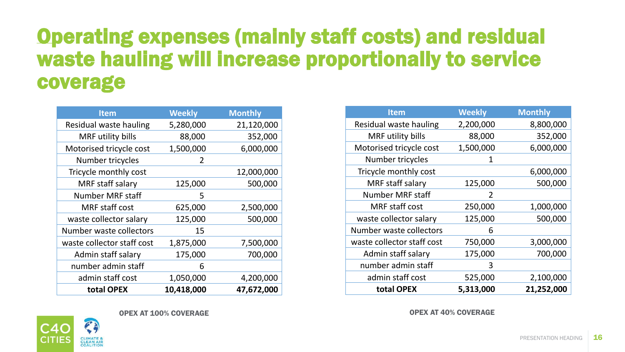#### Operating expenses (mainly staff costs) and residual waste hauling will increase proportionally to service coverage

| <b>Item</b>                | <b>Weekly</b> | <b>Monthly</b> |
|----------------------------|---------------|----------------|
| Residual waste hauling     | 5,280,000     | 21,120,000     |
| MRF utility bills          | 88,000        | 352,000        |
| Motorised tricycle cost    | 1,500,000     | 6,000,000      |
| Number tricycles           | $\mathcal{L}$ |                |
| Tricycle monthly cost      |               | 12,000,000     |
| MRF staff salary           | 125,000       | 500,000        |
| <b>Number MRF staff</b>    | 5             |                |
| <b>MRF</b> staff cost      | 625,000       | 2,500,000      |
| waste collector salary     | 125,000       | 500,000        |
| Number waste collectors    | 15            |                |
| waste collector staff cost | 1,875,000     | 7,500,000      |
| Admin staff salary         | 175,000       | 700,000        |
| number admin staff         | 6             |                |
| admin staff cost           | 1,050,000     | 4,200,000      |
| total OPEX                 | 10,418,000    | 47,672,000     |

| <b>Item</b>                | <b>Weekly</b> | <b>Monthly</b> |
|----------------------------|---------------|----------------|
| Residual waste hauling     | 2,200,000     | 8,800,000      |
| MRF utility bills          | 88,000        | 352,000        |
| Motorised tricycle cost    | 1,500,000     | 6,000,000      |
| Number tricycles           | 1             |                |
| Tricycle monthly cost      |               | 6,000,000      |
| MRF staff salary           | 125,000       | 500,000        |
| <b>Number MRF staff</b>    | $\mathcal{L}$ |                |
| <b>MRF</b> staff cost      | 250,000       | 1,000,000      |
| waste collector salary     | 125,000       | 500,000        |
| Number waste collectors    | 6             |                |
| waste collector staff cost | 750,000       | 3,000,000      |
| Admin staff salary         | 175,000       | 700,000        |
| number admin staff         | 3             |                |
| admin staff cost           | 525,000       | 2,100,000      |
| total OPEX                 | 5,313,000     | 21,252,000     |

OPEX AT 100% COVERAGE OPEX AT 40% COVERAGE

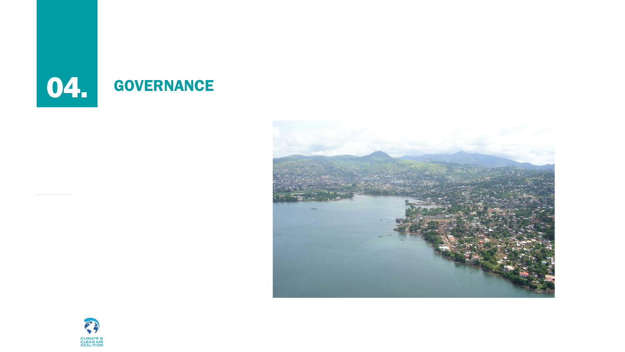



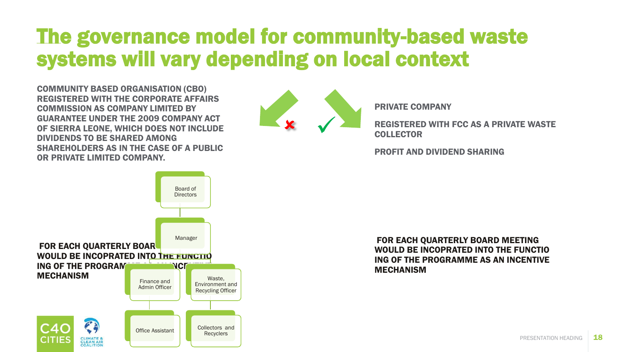#### The governance model for community-based waste systems will vary depending on local context

COMMUNITY BASED ORGANISATION (CBO) REGISTERED WITH THE CORPORATE AFFAIRS COMMISSION AS COMPANY LIMITED BY GUARANTEE UNDER THE 2009 COMPANY ACT OF SIERRA LEONE, WHICH DOES NOT INCLUDE DIVIDENDS TO BE SHARED AMONG SHAREHOLDERS AS IN THE CASE OF A PUBLIC OR PRIVATE LIMITED COMPANY.



PRIVATE COMPANY

REGISTERED WITH FCC AS A PRIVATE WASTE **COLLECTOR** 

PROFIT AND DIVIDEND SHARING



FOR EACH QUARTERLY BOARD MEETING WOULD BE INCOPRATED INTO THE FUNCTIO ING OF THE PROGRAMME AS AN INCENTIVE MECHANISM